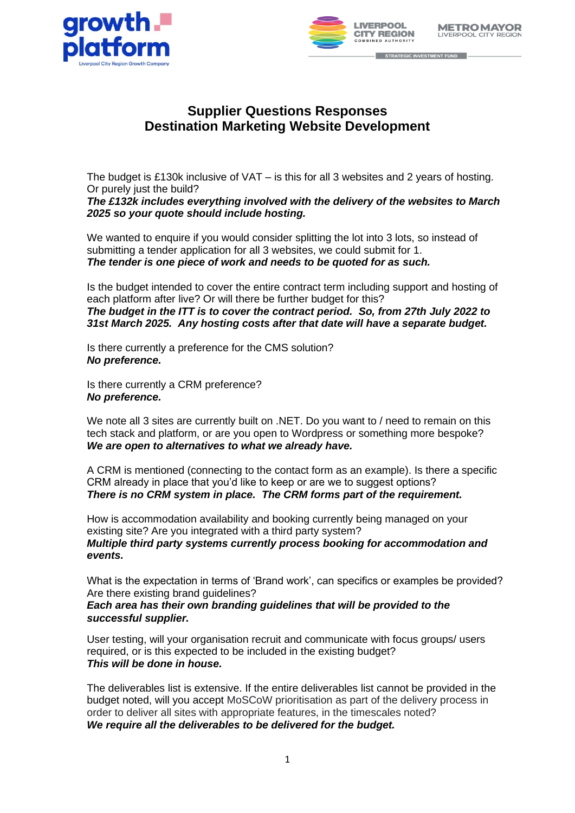



STRATEGIC INVESTMENT FUND

## **Supplier Questions Responses Destination Marketing Website Development**

The budget is £130k inclusive of VAT – is this for all 3 websites and 2 years of hosting. Or purely just the build?

*The £132k includes everything involved with the delivery of the websites to March 2025 so your quote should include hosting.*

We wanted to enquire if you would consider splitting the lot into 3 lots, so instead of submitting a tender application for all 3 websites, we could submit for 1. *The tender is one piece of work and needs to be quoted for as such.*

Is the budget intended to cover the entire contract term including support and hosting of each platform after live? Or will there be further budget for this? *The budget in the ITT is to cover the contract period. So, from 27th July 2022 to 31st March 2025. Any hosting costs after that date will have a separate budget.*

Is there currently a preference for the CMS solution? *No preference.*

Is there currently a CRM preference? *No preference.*

We note all 3 sites are currently built on .NET. Do you want to / need to remain on this tech stack and platform, or are you open to Wordpress or something more bespoke? *We are open to alternatives to what we already have.*

A CRM is mentioned (connecting to the contact form as an example). Is there a specific CRM already in place that you'd like to keep or are we to suggest options? *There is no CRM system in place. The CRM forms part of the requirement.* 

How is accommodation availability and booking currently being managed on your existing site? Are you integrated with a third party system? *Multiple third party systems currently process booking for accommodation and events.*

What is the expectation in terms of 'Brand work', can specifics or examples be provided? Are there existing brand quidelines?

*Each area has their own branding guidelines that will be provided to the successful supplier.*

User testing, will your organisation recruit and communicate with focus groups/ users required, or is this expected to be included in the existing budget? *This will be done in house.*

The deliverables list is extensive. If the entire deliverables list cannot be provided in the budget noted, will you accept MoSCoW prioritisation as part of the delivery process in order to deliver all sites with appropriate features, in the timescales noted? *We require all the deliverables to be delivered for the budget.*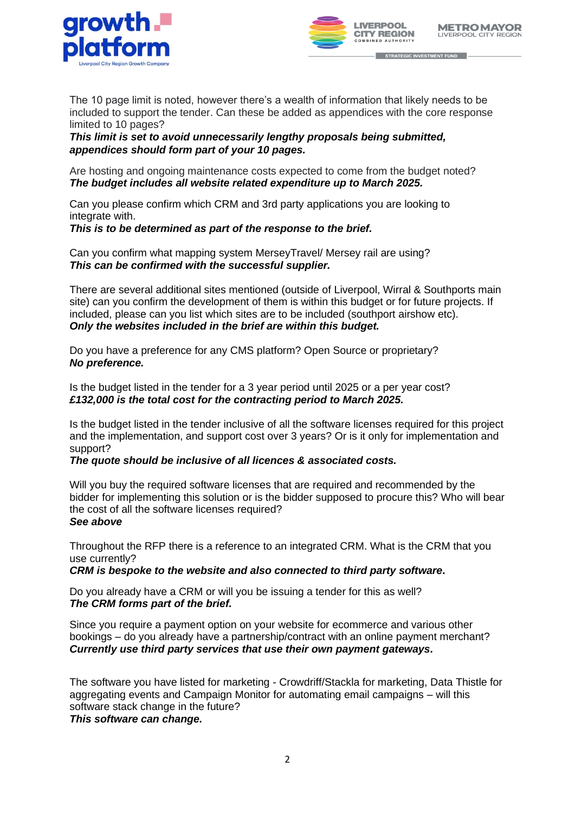



The 10 page limit is noted, however there's a wealth of information that likely needs to be included to support the tender. Can these be added as appendices with the core response limited to 10 pages?

*This limit is set to avoid unnecessarily lengthy proposals being submitted, appendices should form part of your 10 pages.*

Are hosting and ongoing maintenance costs expected to come from the budget noted? *The budget includes all website related expenditure up to March 2025.*

Can you please confirm which CRM and 3rd party applications you are looking to integrate with.

## *This is to be determined as part of the response to the brief.*

Can you confirm what mapping system MerseyTravel/ Mersey rail are using? *This can be confirmed with the successful supplier.*

There are several additional sites mentioned (outside of Liverpool, Wirral & Southports main site) can you confirm the development of them is within this budget or for future projects. If included, please can you list which sites are to be included (southport airshow etc). *Only the websites included in the brief are within this budget.*

Do you have a preference for any CMS platform? Open Source or proprietary? *No preference.*

Is the budget listed in the tender for a 3 year period until 2025 or a per year cost? *£132,000 is the total cost for the contracting period to March 2025.*

Is the budget listed in the tender inclusive of all the software licenses required for this project and the implementation, and support cost over 3 years? Or is it only for implementation and support?

## *The quote should be inclusive of all licences & associated costs.*

Will you buy the required software licenses that are required and recommended by the bidder for implementing this solution or is the bidder supposed to procure this? Who will bear the cost of all the software licenses required? *See above*

Throughout the RFP there is a reference to an integrated CRM. What is the CRM that you use currently?

*CRM is bespoke to the website and also connected to third party software.*

Do you already have a CRM or will you be issuing a tender for this as well? *The CRM forms part of the brief.*

Since you require a payment option on your website for ecommerce and various other bookings – do you already have a partnership/contract with an online payment merchant? *Currently use third party services that use their own payment gateways.*

The software you have listed for marketing - Crowdriff/Stackla for marketing, Data Thistle for aggregating events and Campaign Monitor for automating email campaigns – will this software stack change in the future?

*This software can change.*